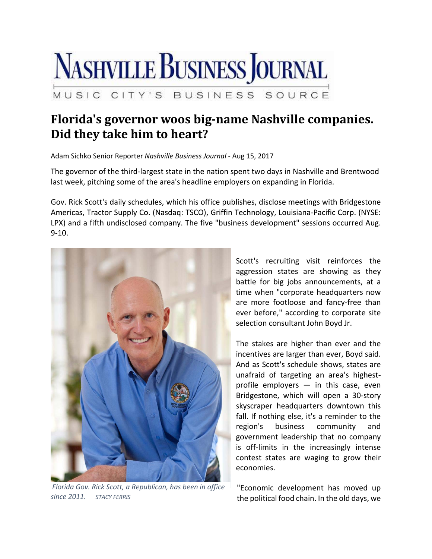

## **Florida's governor woos big‐name Nashville companies. Did they take him to heart?**

Adam Sichko Senior Reporter *Nashville Business Journal* ‐ Aug 15, 2017

The governor of the third‐largest state in the nation spent two days in Nashville and Brentwood last week, pitching some of the area's headline employers on expanding in Florida.

Gov. Rick Scott's daily schedules, which his office publishes, disclose meetings with Bridgestone Americas, Tractor Supply Co. (Nasdaq: TSCO), Griffin Technology, Louisiana‐Pacific Corp. (NYSE: LPX) and a fifth undisclosed company. The five "business development" sessions occurred Aug. 9‐10.



*Florida Gov. Rick Scott, a Republican, has been in office since 2011. STACY FERRIS*

Scott's recruiting visit reinforces the aggression states are showing as they battle for big jobs announcements, at a time when "corporate headquarters now are more footloose and fancy‐free than ever before," according to corporate site selection consultant John Boyd Jr.

The stakes are higher than ever and the incentives are larger than ever, Boyd said. And as Scott's schedule shows, states are unafraid of targeting an area's highest‐ profile employers  $-$  in this case, even Bridgestone, which will open a 30‐story skyscraper headquarters downtown this fall. If nothing else, it's a reminder to the region's business community and government leadership that no company is off‐limits in the increasingly intense contest states are waging to grow their economies.

"Economic development has moved up the political food chain. In the old days, we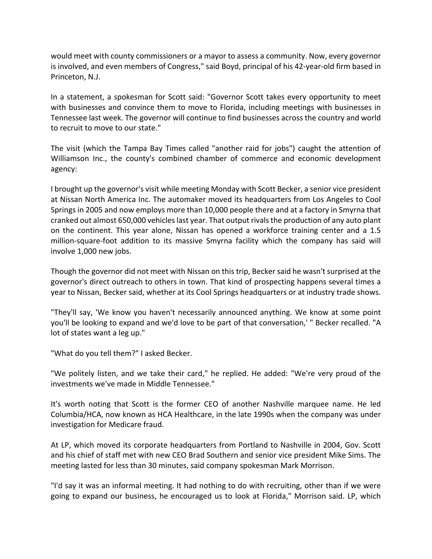would meet with county commissioners or a mayor to assess a community. Now, every governor is involved, and even members of Congress," said Boyd, principal of his 42‐year‐old firm based in Princeton, N.J.

In a statement, a spokesman for Scott said: "Governor Scott takes every opportunity to meet with businesses and convince them to move to Florida, including meetings with businesses in Tennessee last week. The governor will continue to find businesses across the country and world to recruit to move to our state."

The visit (which the Tampa Bay Times called "another raid for jobs") caught the attention of Williamson Inc., the county's combined chamber of commerce and economic development agency:

I brought up the governor's visit while meeting Monday with Scott Becker, a senior vice president at Nissan North America Inc. The automaker moved its headquarters from Los Angeles to Cool Springs in 2005 and now employs more than 10,000 people there and at a factory in Smyrna that cranked out almost 650,000 vehicleslast year. That output rivalsthe production of any auto plant on the continent. This year alone, Nissan has opened a workforce training center and a 1.5 million-square-foot addition to its massive Smyrna facility which the company has said will involve 1,000 new jobs.

Though the governor did not meet with Nissan on this trip, Becker said he wasn't surprised at the governor's direct outreach to others in town. That kind of prospecting happens several times a year to Nissan, Becker said, whether at its Cool Springs headquarters or at industry trade shows.

"They'll say, 'We know you haven't necessarily announced anything. We know at some point you'll be looking to expand and we'd love to be part of that conversation,' " Becker recalled. "A lot of states want a leg up."

"What do you tell them?" I asked Becker.

"We politely listen, and we take their card," he replied. He added: "We're very proud of the investments we've made in Middle Tennessee."

It's worth noting that Scott is the former CEO of another Nashville marquee name. He led Columbia/HCA, now known as HCA Healthcare, in the late 1990s when the company was under investigation for Medicare fraud.

At LP, which moved its corporate headquarters from Portland to Nashville in 2004, Gov. Scott and his chief of staff met with new CEO Brad Southern and senior vice president Mike Sims. The meeting lasted for less than 30 minutes, said company spokesman Mark Morrison.

"I'd say it was an informal meeting. It had nothing to do with recruiting, other than if we were going to expand our business, he encouraged us to look at Florida," Morrison said. LP, which